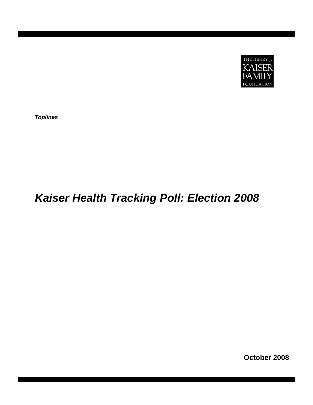

*Toplines* 

# *Kaiser Health Tracking Poll: Election 2008*

 **October 2008**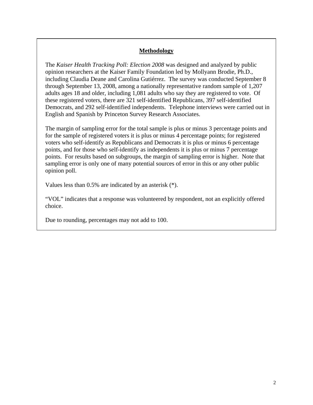# **Methodology**

The *Kaiser Health Tracking Poll: Election 2008* was designed and analyzed by public opinion researchers at the Kaiser Family Foundation led by Mollyann Brodie, Ph.D., including Claudia Deane and Carolina Gutiérrez. The survey was conducted September 8 through September 13, 2008, among a nationally representative random sample of 1,207 adults ages 18 and older, including 1,081 adults who say they are registered to vote. Of these registered voters, there are 321 self-identified Republicans, 397 self-identified Democrats, and 292 self-identified independents. Telephone interviews were carried out in English and Spanish by Princeton Survey Research Associates.

The margin of sampling error for the total sample is plus or minus 3 percentage points and for the sample of registered voters it is plus or minus 4 percentage points; for registered voters who self-identify as Republicans and Democrats it is plus or minus 6 percentage points, and for those who self-identify as independents it is plus or minus 7 percentage points. For results based on subgroups, the margin of sampling error is higher. Note that sampling error is only one of many potential sources of error in this or any other public opinion poll.

Values less than 0.5% are indicated by an asterisk (\*).

"VOL" indicates that a response was volunteered by respondent, not an explicitly offered choice.

Due to rounding, percentages may not add to 100.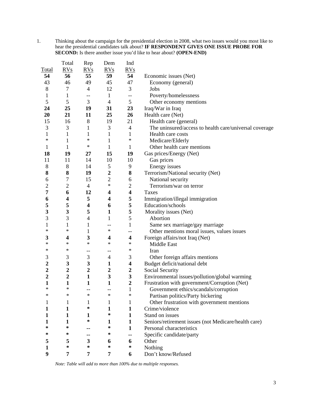1. Thinking about the campaign for the presidential election in 2008, what two issues would you most like to hear the presidential candidates talk about? **IF RESPONDENT GIVES ONE ISSUE PROBE FOR SECOND:** Is there another issue you'd like to hear about? **(OPEN-END)** 

|                         | Total            | Rep                      | Dem                     | Ind                     |                                                        |
|-------------------------|------------------|--------------------------|-------------------------|-------------------------|--------------------------------------------------------|
| <b>Total</b>            | RVs              | RVs                      | RVs                     | RVs                     |                                                        |
| 54                      | 56               | 55                       | 59                      | 54                      | Economic issues (Net)                                  |
| 43                      | 46               | 49                       | 45                      | 47                      | Economy (general)                                      |
| $\,8\,$                 | 7                | $\overline{4}$           | 12                      | 3                       | Jobs                                                   |
| $\mathbf{1}$            | $\mathbf{1}$     | $\overline{\phantom{a}}$ | $\mathbf{1}$            | $- -$                   | Poverty/homelessness                                   |
| 5                       | 5                | 3                        | $\overline{4}$          | $5\overline{)}$         | Other economy mentions                                 |
| 24                      | 25               | 19                       | 31                      | 23                      | Iraq/War in Iraq                                       |
| 20                      | 21               | 11                       | 25                      | 26                      | Health care (Net)                                      |
| 15                      | 16               | $8\,$                    | 19                      | 21                      | Health care (general)                                  |
| 3                       | 3                | $\mathbf{1}$             | 3                       | $\overline{4}$          | The uninsured/access to health care/universal coverage |
| $\mathbf{1}$            | $\mathbf{1}$     | $\mathbf{1}$             | $\mathbf{1}$            | $\mathbf{1}$            | Health care costs                                      |
| $\ast$                  | 1                | $\ast$                   | $\mathbf{1}$            | $\ast$                  | Medicare/Elderly                                       |
| $\mathbf{1}$            | 1                | $\ast$                   | $\mathbf{1}$            | $\mathbf{1}$            | Other health care mentions                             |
| 18                      | 19               | 27                       | 15                      | 19                      | Gas prices/Energy (Net)                                |
| 11                      | 11               | 14                       | 10                      | 10                      | Gas prices                                             |
| $8\,$                   | $\,8\,$          | 14                       | $\sqrt{5}$              | 9                       | Energy issues                                          |
| 8                       | 8                | 19                       | $\boldsymbol{2}$        | 8                       | Terrorism/National security (Net)                      |
| 6                       | $\boldsymbol{7}$ | 15                       | $\overline{c}$          | 6                       | National security                                      |
| $\overline{2}$          | $\mathbf{2}$     | $\overline{4}$           | $\ast$                  | $\mathbf{2}$            | Terrorism/war on terror                                |
| 7                       | 6                | 12                       | $\overline{\mathbf{4}}$ | $\overline{\mathbf{4}}$ | Taxes                                                  |
| 6                       | 4                | 5                        | $\overline{\mathbf{4}}$ | 5                       | Immigration/illegal immigration                        |
| 5                       | 5                | $\overline{\mathbf{4}}$  | 6                       | 5                       | Education/schools                                      |
| $\overline{\mathbf{3}}$ | 3                | 5                        | $\mathbf{1}$            | 5                       | Morality issues (Net)                                  |
| 3                       | 3                | $\overline{4}$           | $\mathbf{1}$            | 5                       | Abortion                                               |
| $\mathbf{1}$            | 1                | 1                        | --                      | $\mathbf{1}$            | Same sex marriage/gay marriage                         |
| $\ast$                  | $\ast$           | 1                        | $\ast$                  | --                      | Other mentions moral issues, values issues             |
| 3                       | 4                | 3                        | 4                       | $\overline{\mathbf{4}}$ | Foreign affairs/not Iraq (Net)                         |
| ∗                       | ∗                | $\ast$                   | $\ast$                  | $\ast$                  | Middle East                                            |
| $\ast$                  | ∗                | --                       | --                      | $\ast$                  | Iran                                                   |
| 3                       | 3                | 3                        | $\overline{4}$          | 3                       | Other foreign affairs mentions                         |
| $\boldsymbol{2}$        | 3                | $\mathbf{3}$             | $\mathbf{1}$            | $\overline{\mathbf{4}}$ | Budget deficit/national debt                           |
| $\overline{2}$          | $\boldsymbol{2}$ | $\boldsymbol{2}$         | $\overline{2}$          | $\boldsymbol{2}$        | Social Security                                        |
| $\overline{2}$          | $\overline{2}$   | $\mathbf{1}$             | $\mathbf{3}$            | $\mathbf{3}$            | Environmental issues/pollution/global warming          |
| $\mathbf{1}$            | $\mathbf{1}$     | $\mathbf{1}$             | $\mathbf{1}$            | $\overline{2}$          | Frustration with government/Corruption (Net)           |
| ∗                       | $\ast$           | --                       |                         | 1                       | Government ethics/scandals/corruption                  |
| ∗                       | $\ast$           | $\ast$                   | $\ast$                  | $\ast$                  | Partisan politics/Party bickering                      |
| 1                       | 1                | 1                        | 1                       | 1                       | Other frustration with government mentions             |
|                         | 1                | ∗                        | $\mathbf{1}$            | $\mathbf{1}$            | Crime/violence                                         |
|                         | 1                | 1                        | ∗                       | 1                       | Stand on issues                                        |
| 1                       | 1                | ∗                        | 1                       | 1                       | Seniors/retirement issues (not Medicare/health care)   |
| ∗                       | ∗                | --                       | ∗                       | 1                       | Personal characteristics                               |
| ∗                       | ∗                | --                       | ∗                       | --                      | Specific candidate/party                               |
| 5                       | 5                | 3                        | 6                       | 6                       | Other                                                  |
| 1                       | $\ast$           | $\ast$                   | ∗                       | ∗                       | Nothing                                                |
| 9                       | 7                | 7                        | 7                       | 6                       | Don't know/Refused                                     |
|                         |                  |                          |                         |                         |                                                        |

*Note: Table will add to more than 100% due to multiple responses.*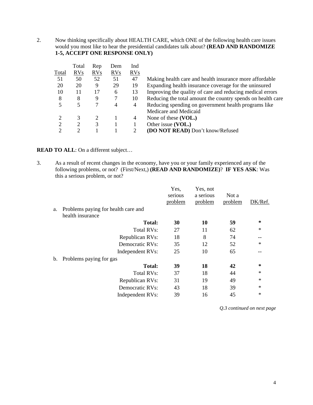2. Now thinking specifically about HEALTH CARE, which ONE of the following health care issues would you most like to hear the presidential candidates talk about? **(READ AND RANDOMIZE 1-5, ACCEPT ONE RESPONSE ONLY)**

|                | Total          | Rep | Dem        | Ind        |                                                             |
|----------------|----------------|-----|------------|------------|-------------------------------------------------------------|
| Total          | <b>RVs</b>     | RVs | <b>RVs</b> | <b>RVs</b> |                                                             |
| 51             | 50             | 52  | 51         | 47         | Making health care and health insurance more affordable     |
| 20             | 20             | 9   | 29         | 19         | Expanding health insurance coverage for the uninsured       |
| 10             | 11             | 17  | 6          | 13         | Improving the quality of care and reducing medical errors   |
| 8              | 8              | 9   | 7          | 10         | Reducing the total amount the country spends on health care |
| 5              | 5              |     | 4          | 4          | Reducing spending on government health programs like        |
|                |                |     |            |            | Medicare and Medicaid                                       |
| $\overline{c}$ | 3              | 2   |            | 4          | None of these (VOL.)                                        |
| $\overline{2}$ | $\overline{c}$ | 3   |            |            | Other issue (VOL.)                                          |
| 2              | 2              |     |            | 2          | (DO NOT READ) Don't know/Refused                            |

## **READ TO ALL**: On a different subject...

3. As a result of recent changes in the economy, have you or your family experienced any of the following problems, or not? (First/Next,) **(READ AND RANDOMIZE)**? **IF YES ASK**: Was this a serious problem, or not?

|                |                                     | Yes,<br>serious<br>problem | Yes, not<br>a serious<br>problem | Not a<br>problem | DK/Ref. |
|----------------|-------------------------------------|----------------------------|----------------------------------|------------------|---------|
| a.             | Problems paying for health care and |                            |                                  |                  |         |
|                | health insurance                    |                            |                                  |                  |         |
|                | <b>Total:</b>                       | 30                         | 10                               | 59               | $\ast$  |
|                | Total RVs:                          | 27                         | 11                               | 62               | $\ast$  |
|                | Republican RVs:                     | 18                         | 8                                | 74               |         |
|                | Democratic RVs:                     | 35                         | 12                               | 52               | $\ast$  |
|                | Independent RVs:                    | 25                         | 10                               | 65               | --      |
| $\mathbf{b}$ . | Problems paying for gas             |                            |                                  |                  |         |
|                | <b>Total:</b>                       | 39                         | 18                               | 42               | $\ast$  |
|                | Total RVs:                          | 37                         | 18                               | 44               | $\ast$  |
|                | Republican RVs:                     | 31                         | 19                               | 49               | $\ast$  |
|                | Democratic RVs:                     | 43                         | 18                               | 39               | $\ast$  |
|                | Independent RVs:                    | 39                         | 16                               | 45               | $\ast$  |
|                |                                     |                            |                                  |                  |         |

*Q.3 continued on next page*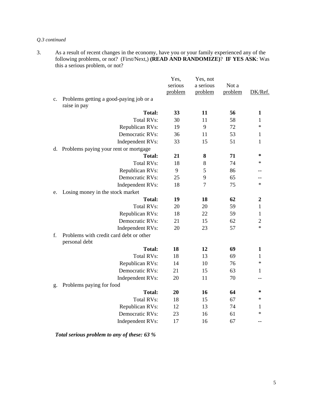#### *Q.3 continued*

3. As a result of recent changes in the economy, have you or your family experienced any of the following problems, or not? (First/Next,) **(READ AND RANDOMIZE)**? **IF YES ASK**: Was this a serious problem, or not?

|             |                                                          | Yes,<br>serious | Yes, not<br>a serious | Not a   |                  |
|-------------|----------------------------------------------------------|-----------------|-----------------------|---------|------------------|
|             |                                                          | problem         | problem               | problem | DK/Ref.          |
| $c_{\cdot}$ | Problems getting a good-paying job or a<br>raise in pay  |                 |                       |         |                  |
|             | <b>Total:</b>                                            | 33              | 11                    | 56      | $\mathbf{1}$     |
|             | <b>Total RVs:</b>                                        | 30              | 11                    | 58      | 1                |
|             | Republican RVs:                                          | 19              | 9                     | 72      | $\ast$           |
|             | Democratic RVs:                                          | 36              | 11                    | 53      | 1                |
|             | Independent RVs:                                         | 33              | 15                    | 51      | 1                |
| d.          | Problems paying your rent or mortgage                    |                 |                       |         |                  |
|             | <b>Total:</b>                                            | 21              | 8                     | 71      | $\ast$           |
|             | <b>Total RVs:</b>                                        | 18              | 8                     | 74      | $\ast$           |
|             | Republican RVs:                                          | 9               | 5                     | 86      | --               |
|             | Democratic RVs:                                          | 25              | 9                     | 65      |                  |
|             | Independent RVs:                                         | 18              | $\tau$                | 75      | $\ast$           |
| e.          | Losing money in the stock market                         |                 |                       |         |                  |
|             | <b>Total:</b>                                            | 19              | 18                    | 62      | $\boldsymbol{2}$ |
|             | <b>Total RVs:</b>                                        | 20              | 20                    | 59      | 1                |
|             | Republican RVs:                                          | 18              | 22                    | 59      | 1                |
|             | Democratic RVs:                                          | 21              | 15                    | 62      | $\overline{c}$   |
|             | Independent RVs:                                         | 20              | 23                    | 57      | $\ast$           |
| f.          | Problems with credit card debt or other<br>personal debt |                 |                       |         |                  |
|             | <b>Total:</b>                                            | 18              | 12                    | 69      | $\mathbf{1}$     |
|             | <b>Total RVs:</b>                                        | 18              | 13                    | 69      | $\mathbf{1}$     |
|             | Republican RVs:                                          | 14              | 10                    | 76      | $\ast$           |
|             | Democratic RVs:                                          | 21              | 15                    | 63      | 1                |
|             | Independent RVs:                                         | 20              | 11                    | 70      |                  |
| g.          | Problems paying for food                                 |                 |                       |         |                  |
|             | <b>Total:</b>                                            | 20              | 16                    | 64      | ∗                |
|             | <b>Total RVs:</b>                                        | 18              | 15                    | 67      | $\ast$           |
|             | Republican RVs:                                          | 12              | 13                    | 74      | 1                |
|             | Democratic RVs:                                          | 23              | 16                    | 61      | $\ast$           |
|             | Independent RVs:                                         | 17              | 16                    | 67      | $-$              |

*Total serious problem to any of these: 63 %*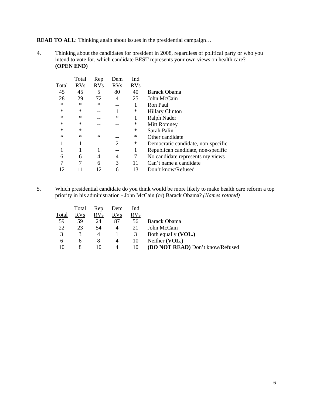**READ TO ALL**: Thinking again about issues in the presidential campaign...

4. Thinking about the candidates for president in 2008, regardless of political party or who you intend to vote for, which candidate BEST represents your own views on health care? **(OPEN END)** 

|        | Total      | Rep        | Dem        | Ind        |                                    |
|--------|------------|------------|------------|------------|------------------------------------|
| Total  | <b>RVs</b> | <b>RVs</b> | <b>RVs</b> | <b>RVs</b> |                                    |
| 45     | 45         | 5          | 80         | 40         | Barack Obama                       |
| 28     | 29         | 72         | 4          | 25         | John McCain                        |
| $\ast$ | $\ast$     | $\ast$     | --         | 1          | Ron Paul                           |
| $\ast$ | *          |            |            | ∗          | <b>Hillary Clinton</b>             |
| $\ast$ | *          |            | ∗          | 1          | Ralph Nader                        |
| $\ast$ | *          |            |            | ∗          | Mitt Romney                        |
| $\ast$ | ∗          |            |            | ∗          | Sarah Palin                        |
| $\ast$ | *          | $\ast$     |            | ∗          | Other candidate                    |
| 1      |            |            | 2          | $\ast$     | Democratic candidate, non-specific |
|        |            |            |            | 1          | Republican candidate, non-specific |
| 6      | 6          | 4          | 4          | 7          | No candidate represents my views   |
| 7      | 7          | 6          | 3          | 11         | Can't name a candidate             |
| 12     |            | 12         | 6          | 13         | Don't know/Refused                 |

5. Which presidential candidate do you think would be more likely to make health care reform a top priority in his administration - John McCain (or) Barack Obama? *(Names rotated)*

|       | Total        | Rep        | Dem            | Ind |                                         |
|-------|--------------|------------|----------------|-----|-----------------------------------------|
| Total | <b>RVs</b>   | <b>RVs</b> | <b>RVs</b>     | RVs |                                         |
| 59    | 59           | 24         | 87             | 56  | Barack Obama                            |
| 22    | 23           | 54         | 4              | 21  | John McCain                             |
|       | 3            | 4          |                | 3   | Both equally (VOL.)                     |
| h     | <sub>6</sub> | 8          | 4              | 10  | Neither (VOL.)                          |
| 10    | 8            |            | $\overline{4}$ | 10  | <b>(DO NOT READ)</b> Don't know/Refused |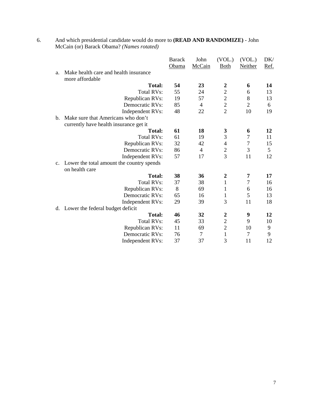|                |                                           | <b>Barack</b> | John           | (VOL.)           | (VOL.)         | DK/  |
|----------------|-------------------------------------------|---------------|----------------|------------------|----------------|------|
|                |                                           | Obama         | McCain         | <b>Both</b>      | Neither        | Ref. |
| a.             | Make health care and health insurance     |               |                |                  |                |      |
|                | more affordable                           |               |                |                  |                |      |
|                | <b>Total:</b>                             | 54            | 23             | $\boldsymbol{2}$ | 6              | 14   |
|                | <b>Total RVs:</b>                         | 55            | 24             | $\overline{2}$   | 6              | 13   |
|                | Republican RVs:                           | 19            | 57             | $\overline{c}$   | 8              | 13   |
|                | Democratic RVs:                           | 85            | $\overline{4}$ | $\overline{c}$   | $\overline{2}$ | 6    |
|                | Independent RVs:                          | 48            | 22             | $\overline{2}$   | 10             | 19   |
| $\mathbf{b}$ . | Make sure that Americans who don't        |               |                |                  |                |      |
|                | currently have health insurance get it    |               |                |                  |                |      |
|                | <b>Total:</b>                             | 61            | 18             | 3                | 6              | 12   |
|                | <b>Total RVs:</b>                         | 61            | 19             | 3                | $\overline{7}$ | 11   |
|                | Republican RVs:                           | 32            | 42             | 4                | $\overline{7}$ | 15   |
|                | Democratic RVs:                           | 86            | 4              | $\overline{2}$   | 3              | 5    |
|                | Independent RVs:                          | 57            | 17             | 3                | 11             | 12   |
| $\mathbf{c}$ . | Lower the total amount the country spends |               |                |                  |                |      |
|                | on health care                            |               |                |                  |                |      |
|                | <b>Total:</b>                             | 38            | 36             | $\boldsymbol{2}$ | 7              | 17   |
|                | <b>Total RVs:</b>                         | 37            | 38             | $\mathbf{1}$     | $\tau$         | 16   |
|                | Republican RVs:                           | 8             | 69             | 1                | 6              | 16   |
|                | Democratic RVs:                           | 65            | 16             | 1                | 5              | 13   |
|                | Independent RVs:                          | 29            | 39             | 3                | 11             | 18   |
| d.             | Lower the federal budget deficit          |               |                |                  |                |      |
|                | <b>Total:</b>                             | 46            | 32             | $\overline{2}$   | 9              | 12   |
|                | <b>Total RVs:</b>                         | 45            | 33             | $\overline{c}$   | 9              | 10   |
|                | Republican RVs:                           | 11            | 69             | $\overline{c}$   | 10             | 9    |
|                | Democratic RVs:                           | 76            | $\overline{7}$ | $\mathbf{1}$     | $\overline{7}$ | 9    |
|                | Independent RVs:                          | 37            | 37             | 3                | 11             | 12   |

6. And which presidential candidate would do more to **(READ AND RANDOMIZE)** - John McCain (or) Barack Obama? *(Names rotated)*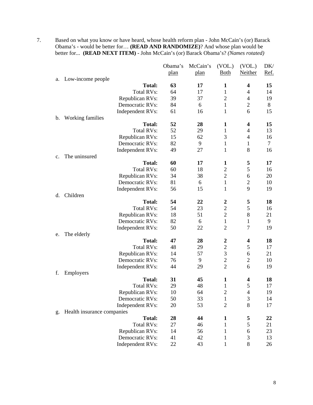7. Based on what you know or have heard, whose health reform plan - John McCain's (or) Barack Obama's - would be better for… **(READ AND RANDOMIZE)**? And whose plan would be better for... **(READ NEXT ITEM)** - John McCain's (or) Barack Obama's? *(Names rotated)*

|    |                            | Obama's | McCain's | (VOL.)           | (VOL.)         | DK/  |
|----|----------------------------|---------|----------|------------------|----------------|------|
|    |                            | plan    | plan     | <b>Both</b>      | Neither        | Ref. |
| a. | Low-income people          |         |          |                  |                |      |
|    | <b>Total:</b>              | 63      | 17       | 1                | 4              | 15   |
|    | <b>Total RVs:</b>          | 64      | 17       | $\mathbf{1}$     | 4              | 14   |
|    | Republican RVs:            | 39      | 37       | $\overline{2}$   | $\overline{4}$ | 19   |
|    | Democratic RVs:            | 84      | 6        | $\mathbf{1}$     | $\overline{2}$ | 8    |
|    | Independent RVs:           | 61      | 16       | $\mathbf{1}$     | 6              | 15   |
| b. | Working families           |         |          |                  |                |      |
|    | <b>Total:</b>              | 52      | 28       | $\mathbf{1}$     | 4              | 15   |
|    | <b>Total RVs:</b>          | 52      | 29       | $\mathbf{1}$     | 4              | 13   |
|    | Republican RVs:            | 15      | 62       | 3                | $\overline{4}$ | 16   |
|    | Democratic RVs:            | 82      | 9        | $\mathbf{1}$     | 1              | 7    |
|    | Independent RVs:           | 49      | 27       | $\mathbf{1}$     | 8              | 16   |
| c. | The uninsured              |         |          |                  |                |      |
|    | <b>Total:</b>              | 60      | 17       | $\mathbf{1}$     | 5              | 17   |
|    | <b>Total RVs:</b>          | 60      | 18       | $\mathfrak{2}$   | 5              | 16   |
|    | Republican RVs:            | 34      | 38       | $\sqrt{2}$       | 6              | 20   |
|    | Democratic RVs:            | 81      | 6        | $\mathbf{1}$     | $\overline{2}$ | 10   |
|    | Independent RVs:           | 56      | 15       | 1                | 9              | 19   |
| d. | Children                   |         |          |                  |                |      |
|    | <b>Total:</b>              | 54      | 22       | $\boldsymbol{2}$ | 5              | 18   |
|    | <b>Total RVs:</b>          | 54      | 23       | $\sqrt{2}$       | 5              | 16   |
|    | Republican RVs:            | 18      | 51       | $\overline{2}$   | 8              | 21   |
|    | Democratic RVs:            | 82      | 6        | $\mathbf{1}$     | $\mathbf{1}$   | 9    |
|    | Independent RVs:           | 50      | 22       | $\overline{2}$   | $\overline{7}$ | 19   |
| e. | The elderly                |         |          |                  |                |      |
|    | <b>Total:</b>              | 47      | 28       | $\boldsymbol{2}$ | 4              | 18   |
|    | <b>Total RVs:</b>          | 48      | 29       | $\overline{c}$   | 5              | 17   |
|    | Republican RVs:            | 14      | 57       | $\mathfrak{Z}$   | 6              | 21   |
|    | Democratic RVs:            | 76      | 9        | $\sqrt{2}$       | $\mathbf{2}$   | 10   |
|    | Independent RVs:           | 44      | 29       | $\overline{2}$   | 6              | 19   |
| f. | Employers                  |         |          |                  |                |      |
|    | <b>Total:</b>              | 31      | 45       | $\mathbf{1}$     | 4              | 18   |
|    | <b>Total RVs:</b>          | 29      | 48       | $\mathbf{1}$     | 5              | 17   |
|    | Republican RVs:            | 10      | 64       | $\mathfrak{2}$   | $\overline{4}$ | 19   |
|    | Democratic RVs:            | 50      | 33       | $\mathbf{1}$     | 3              | 14   |
|    | Independent RVs:           | 20      | 53       | $\overline{2}$   | 8              | 17   |
| g. | Health insurance companies |         |          |                  |                |      |
|    | <b>Total:</b>              | 28      | 44       | 1                | 5              | 22   |
|    | <b>Total RVs:</b>          | 27      | 46       | $\mathbf{1}$     | 5              | 21   |
|    | Republican RVs:            | 14      | 56       | $\mathbf{1}$     | 6              | 23   |
|    | Democratic RVs:            | 41      | 42       | $\mathbf{1}$     | $\mathfrak{Z}$ | 13   |
|    | Independent RVs:           | 22      | 43       | $\mathbf{1}$     | 8              | 26   |
|    |                            |         |          |                  |                |      |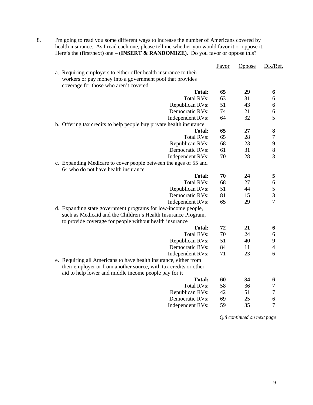8. I'm going to read you some different ways to increase the number of Americans covered by health insurance. As I read each one, please tell me whether you would favor it or oppose it. Here's the (first/next) one – (**INSERT & RANDOMIZE**). Do you favor or oppose this?

|                                                                     | <b>Favor</b> | Oppose | DK/Ref.                    |
|---------------------------------------------------------------------|--------------|--------|----------------------------|
| a. Requiring employers to either offer health insurance to their    |              |        |                            |
| workers or pay money into a government pool that provides           |              |        |                            |
| coverage for those who aren't covered                               |              |        |                            |
| <b>Total:</b>                                                       | 65           | 29     | 6                          |
| <b>Total RVs:</b>                                                   | 63           | 31     | 6                          |
| Republican RVs:                                                     | 51           | 43     | 6                          |
| Democratic RVs:                                                     | 74           | 21     | 6                          |
| Independent RVs:                                                    | 64           | 32     | 5                          |
| b. Offering tax credits to help people buy private health insurance |              |        |                            |
| <b>Total:</b>                                                       | 65           | 27     | 8                          |
| <b>Total RVs:</b>                                                   | 65           | 28     | $\overline{7}$             |
| Republican RVs:                                                     | 68           | 23     | 9                          |
| Democratic RVs:                                                     | 61           | 31     | 8                          |
| Independent RVs:                                                    | 70           | 28     | $\overline{3}$             |
| c. Expanding Medicare to cover people between the ages of 55 and    |              |        |                            |
| 64 who do not have health insurance                                 |              |        |                            |
| <b>Total:</b>                                                       | 70           | 24     | 5                          |
| <b>Total RVs:</b>                                                   | 68           | 27     |                            |
| Republican RVs:                                                     | 51           | 44     | $rac{6}{5}$<br>$rac{3}{7}$ |
| Democratic RVs:                                                     | 81           | 15     |                            |
| Independent RVs:                                                    | 65           | 29     |                            |
| d. Expanding state government programs for low-income people,       |              |        |                            |
| such as Medicaid and the Children's Health Insurance Program,       |              |        |                            |
| to provide coverage for people without health insurance             |              |        |                            |
| <b>Total:</b>                                                       | 72           | 21     | 6                          |
| <b>Total RVs:</b>                                                   | 70           | 24     | 6                          |
| Republican RVs:                                                     | 51           | 40     | 9                          |
| Democratic RVs:                                                     | 84           | 11     | $\overline{4}$             |
| Independent RVs:                                                    | 71           | 23     | 6                          |
| e. Requiring all Americans to have health insurance, either from    |              |        |                            |
| their employer or from another source, with tax credits or other    |              |        |                            |
| aid to help lower and middle income people pay for it               |              |        |                            |
| <b>Total:</b>                                                       | 60           | 34     | 6                          |
| <b>Total RVs:</b>                                                   | 58           | 36     | $\overline{7}$             |
| Republican RVs:                                                     | 42           | 51     | $\overline{7}$             |
| Democratic RVs:                                                     | 69           | 25     | 6                          |
| Independent RVs:                                                    | 59           | 35     | $\overline{7}$             |
|                                                                     |              |        |                            |

*Q.8 continued on next page*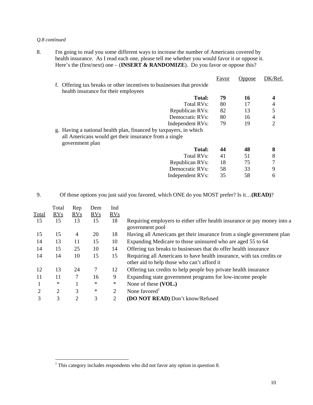#### *Q.8 continued*

8. I'm going to read you some different ways to increase the number of Americans covered by health insurance. As I read each one, please tell me whether you would favor it or oppose it. Here's the (first/next) one – **(INSERT & RANDOMIZE**). Do you favor or oppose this?

|                                                                       | <b>Favor</b> | Oppose | DK/Ref.        |
|-----------------------------------------------------------------------|--------------|--------|----------------|
| f. Offering tax breaks or other incentives to businesses that provide |              |        |                |
| health insurance for their employees                                  |              |        |                |
| Total:                                                                | 79           | 16     |                |
| Total RVs:                                                            | 80           | 17     | 4              |
| Republican RVs:                                                       | 82           | 13     | 5              |
| Democratic RVs:                                                       | 80           | 16     | 4              |
| Independent RVs:                                                      | 79           | 19     | $\overline{2}$ |
| g. Having a national health plan, financed by taxpayers, in which     |              |        |                |
| all Americans would get their insurance from a single                 |              |        |                |
| government plan                                                       |              |        |                |
| Total:                                                                | 44           | 48     | 8              |
| Total RVs:                                                            | 41           | 51     | 8              |
| Republican RVs:                                                       | 18           | 75     | 7              |
| Democratic RVs:                                                       | 58           | 33     | 9              |
| Independent RVs:                                                      | 35           | 58     | 6              |
|                                                                       |              |        |                |

#### 9. Of those options you just said you favored, which ONE do you MOST prefer? Is it…**(READ)**?

| Total | Total<br><b>RVs</b> | Rep<br>RVs | Dem<br>RVs | Ind<br>RVs     |                                                                                                                      |
|-------|---------------------|------------|------------|----------------|----------------------------------------------------------------------------------------------------------------------|
| 15    | 15                  | 13         | 15         | 18             | Requiring employers to either offer health insurance or pay money into a<br>government pool                          |
| 15    | 15                  | 4          | 20         | 18             | Having all Americans get their insurance from a single government plan                                               |
| 14    | 13                  | 11         | 15         | 10             | Expanding Medicare to those uninsured who are aged 55 to 64                                                          |
| 14    | 15                  | 25         | 10         | 14             | Offering tax breaks to businesses that do offer health insurance                                                     |
| 14    | 14                  | 10         | 15         | 15             | Requiring all Americans to have health insurance, with tax credits or<br>other aid to help those who can't afford it |
| 12    | 13                  | 24         | 7          | 12             | Offering tax credits to help people buy private health insurance                                                     |
| 11    | 11                  | 7          | 16         | 9              | Expanding state government programs for low-income people                                                            |
|       | $\ast$              |            | $\ast$     | $\ast$         | None of these (VOL.)                                                                                                 |
| 2     | 2                   | 3          | $\ast$     | $\overline{2}$ | None favored                                                                                                         |
| 3     | 3                   | 2          | 3          | 2              | (DO NOT READ) Don't know/Refused                                                                                     |

 1 This category includes respondents who did not favor any option in question 8.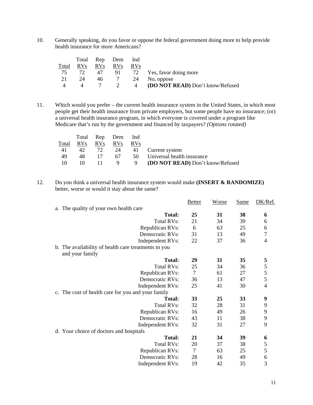10. Generally speaking, do you favor or oppose the federal government doing more to help provide health insurance for more Americans?

|       |                 | Total Rep Dem   |                 | lnd        |                                         |
|-------|-----------------|-----------------|-----------------|------------|-----------------------------------------|
| Total | RV <sub>S</sub> | RV <sub>s</sub> | <b>RVs</b>      | <b>RVs</b> |                                         |
| 75    | 72              | 47              | 91.             |            | 72 Yes, favor doing more                |
| 21    | 24              | 46              | $7\overline{)}$ |            | 24 No. oppose                           |
|       |                 |                 | $\sim$ 2        | 4          | <b>(DO NOT READ)</b> Don't know/Refused |

11. Which would you prefer – the current health insurance system in the United States, in which most people get their health insurance from private employers, but some people have no insurance; (or) a universal health insurance program, in which everyone is covered under a program like Medicare that's run by the government and financed by taxpayers? *(Options rotated)*

|       |                    |           | Total Rep Dem Ind |            |                                      |
|-------|--------------------|-----------|-------------------|------------|--------------------------------------|
| Total | <u>RVs</u> RVs RVs |           |                   | <b>RVs</b> |                                      |
| 41    | 42                 |           |                   |            | 72 24 41 Current system              |
| 49    | 48.                | 17        | 67 —              |            | 50 Universal health insurance        |
| -10   | 10                 | $\Box$ 11 |                   |            | 9 9 (DO NOT READ) Don't know/Refused |

12. Do you think a universal health insurance system would make **(INSERT & RANDOMIZE)** better, worse or would it stay about the same?

|    |                                                      | <b>Better</b>  | <b>Worse</b> | <b>Same</b> | DK/Ref.        |
|----|------------------------------------------------------|----------------|--------------|-------------|----------------|
| a. | The quality of your own health care                  |                |              |             |                |
|    | <b>Total:</b>                                        | 25             | 31           | 38          | 6              |
|    | <b>Total RVs:</b>                                    | 21             | 34           | 39          | 6              |
|    | Republican RVs:                                      | 6              | 63           | 25          | 6              |
|    | Democratic RVs:                                      | 31             | 13           | 49          | 7              |
|    | Independent RVs:                                     | 22             | 37           | 36          | 4              |
|    | b. The availability of health care treatments to you |                |              |             |                |
|    | and your family                                      |                |              |             |                |
|    | <b>Total:</b>                                        | 29             | 31           | 35          | 5              |
|    | <b>Total RVs:</b>                                    | 25             | 34           | 36          | 5              |
|    | Republican RVs:                                      | $\overline{7}$ | 61           | 27          | 5              |
|    | Democratic RVs:                                      | 36             | 13           | 47          | 5              |
|    | Independent RVs:                                     | 25             | 41           | 30          | $\overline{4}$ |
|    | c. The cost of health care for you and your family   |                |              |             |                |
|    | <b>Total:</b>                                        | 33             | 25           | 33          | 9              |
|    | <b>Total RVs:</b>                                    | 32             | 28           | 31          | 9              |
|    | Republican RVs:                                      | 16             | 49           | 26          | 9              |
|    | Democratic RVs:                                      | 43             | 11           | 38          | 9              |
|    | Independent RVs:                                     | 32             | 31           | 27          | 9              |
|    | d. Your choice of doctors and hospitals              |                |              |             |                |
|    | <b>Total:</b>                                        | 21             | 34           | 39          | 6              |
|    | <b>Total RVs:</b>                                    | 20             | 37           | 38          | 5              |
|    | Republican RVs:                                      | $\tau$         | 63           | 25          | 5              |
|    | Democratic RVs:                                      | 28             | 16           | 49          | 6              |
|    | Independent RVs:                                     | 19             | 42           | 35          | 3              |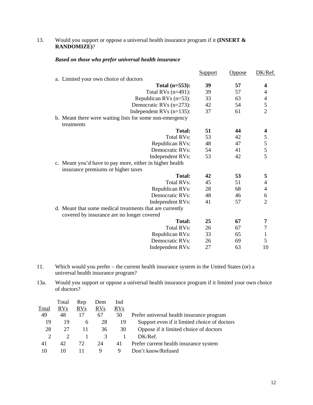#### 13. Would you support or oppose a universal health insurance program if it **(INSERT & RANDOMIZE)**?

#### *Based on those who prefer universal health insurance*

|                                                          | <b>Support</b> | <u>Oppose</u> | DK/Ref.                                    |
|----------------------------------------------------------|----------------|---------------|--------------------------------------------|
| a. Limited your own choice of doctors                    |                |               |                                            |
| Total $(n=553)$ :                                        | 39             | 57            | $\boldsymbol{4}$                           |
| Total RVs $(n=491)$ :                                    | 39             | 57            | 4                                          |
| Republican RVs $(n=53)$ :                                | 33             | 63            |                                            |
| Democratic RVs $(n=273)$ :                               | 42             | 54            | $\begin{array}{c} 4 \\ 5 \\ 2 \end{array}$ |
| Independent RVs $(n=135)$ :                              | 37             | 61            |                                            |
| b. Meant there were waiting lists for some non-emergency |                |               |                                            |
| treatments                                               |                |               |                                            |
| <b>Total:</b>                                            | 51             | 44            | 4                                          |
| <b>Total RVs:</b>                                        | 53             | 42            |                                            |
| Republican RVs:                                          | 48             | 47            | $\frac{5}{5}$<br>$\frac{5}{5}$             |
| Democratic RVs:                                          | 54             | 41            |                                            |
| Independent RVs:                                         | 53             | 42            |                                            |
| c. Meant you'd have to pay more, either in higher health |                |               |                                            |
| insurance premiums or higher taxes                       |                |               |                                            |
| <b>Total:</b>                                            | 42             | 53            | 5                                          |
| <b>Total RVs:</b>                                        | 45             | 51            | 4                                          |
| Republican RVs:                                          | 28             | 68            | $\overline{\mathcal{A}}$                   |
| Democratic RVs:                                          | 48             | 46            | $\frac{6}{2}$                              |
| Independent RVs:                                         | 41             | 57            |                                            |
| d. Meant that some medical treatments that are currently |                |               |                                            |
| covered by insurance are no longer covered               |                |               |                                            |
| <b>Total:</b>                                            | 25             | 67            | 7                                          |
| <b>Total RVs:</b>                                        | 26             | 67            | $\boldsymbol{7}$                           |
| Republican RVs:                                          | 33             | 65            | $\mathbf{1}$                               |
| Democratic RVs:                                          | 26             | 69            | 5                                          |
| Independent RVs:                                         | 27             | 63            | 10                                         |

- 11. Which would you prefer the current health insurance system in the United States (or) a universal health insurance program?
- 13a. Would you support or oppose a universal health insurance program if it limited your own choice of doctors?

|               | Total      | Rep        | Dem        | Ind        |                                              |
|---------------|------------|------------|------------|------------|----------------------------------------------|
| Total         | <b>RVs</b> | <b>RVs</b> | <b>RVs</b> | <b>RVs</b> |                                              |
| 49            | 48         | 17         | 67         | 50         | Prefer universal health insurance program    |
| 19            | 19         | 6          | 28         | 19         | Support even if it limited choice of doctors |
| 28            | 27         | 11         | 36         | 30         | Oppose if it limited choice of doctors       |
| $\mathcal{D}$ |            |            | 3          |            | DK/Ref.                                      |
| 41            | 42         | 72.        | 24         | 41         | Prefer current health insurance system       |
| 10            | 10         |            | 9          | Q          | Don't know/Refused                           |
|               |            |            |            |            |                                              |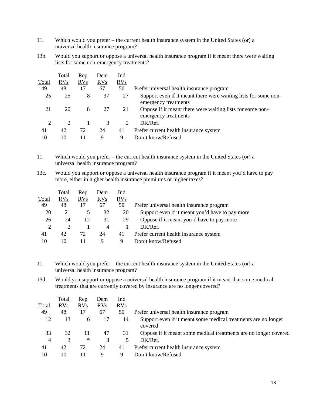- 11. Which would you prefer the current health insurance system in the United States (or) a universal health insurance program?
- 13b. Would you support or oppose a universal health insurance program if it meant there were waiting lists for some non-emergency treatments?

|              | Total | Rep | Dem | Ind |                                                                                         |
|--------------|-------|-----|-----|-----|-----------------------------------------------------------------------------------------|
| <b>Total</b> | RVs   | RVs | RVs | RVs |                                                                                         |
| 49           | 48    | 17  | 67  | 50  | Prefer universal health insurance program                                               |
| 25           | 25    | 8   | 37  | 27  | Support even if it meant there were waiting lists for some non-<br>emergency treatments |
| 21           | 20    | 8   | 27  | 21  | Oppose if it meant there were waiting lists for some non-<br>emergency treatments       |
| 2            | 2     |     | 3   | 2   | DK/Ref.                                                                                 |
| 41           | 42    | 72  | 24  | 41  | Prefer current health insurance system                                                  |
| 10           | 10    | 11  | 9   | 9   | Don't know/Refused                                                                      |

11. Which would you prefer – the current health insurance system in the United States (or) a universal health insurance program?

13c. Would you support or oppose a universal health insurance program if it meant you'd have to pay more, either in higher health insurance premiums or higher taxes?

|       | Total      | Rep            | Dem        | Ind        |                                                 |
|-------|------------|----------------|------------|------------|-------------------------------------------------|
| Total | <b>RVs</b> | <b>RVs</b>     | <b>RVs</b> | <b>RVs</b> |                                                 |
| 49    | 48         | 17             | 67         | 50         | Prefer universal health insurance program       |
| 20    | 21         | $\overline{5}$ | 32         | 20         | Support even if it meant you'd have to pay more |
| 26    | 24         | 12             | 31         | 29         | Oppose if it meant you'd have to pay more       |
| 2     |            |                | 4          |            | DK/Ref.                                         |
| 41    | 42         | 72             | 24         | 41         | Prefer current health insurance system          |
| 10    | 10         |                | Q          | 9          | Don't know/Refused                              |

11. Which would you prefer – the current health insurance system in the United States (or) a universal health insurance program?

13d. Would you support or oppose a universal health insurance program if it meant that some medical treatments that are currently covered by insurance are no longer covered?

| Total | Rep    | Dem | Ind |                                                                           |
|-------|--------|-----|-----|---------------------------------------------------------------------------|
| RVs   | RVs    | RVs | RVs |                                                                           |
| 48    | 17     | 67  | 50  | Prefer universal health insurance program                                 |
| 13    | 6      | 17  | 14  | Support even if it meant some medical treatments are no longer<br>covered |
| 32    | 11     | 47  | 31  | Oppose if it meant some medical treatments are no longer covered          |
| 3     | $\ast$ | 3   | 5   | DK/Ref.                                                                   |
| 42    | 72     | 24  | 41  | Prefer current health insurance system                                    |
| 10    | 11     | 9   | 9   | Don't know/Refused                                                        |
|       |        |     |     |                                                                           |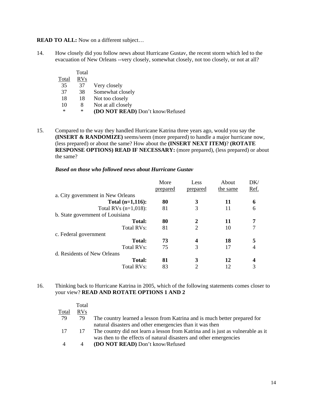**READ TO ALL:** Now on a different subject...

14. How closely did you follow news about Hurricane Gustav, the recent storm which led to the evacuation of New Orleans --very closely, somewhat closely, not too closely, or not at all?

|        | Total      |                                  |
|--------|------------|----------------------------------|
| Total  | <b>RVs</b> |                                  |
| 35     | 37         | Very closely                     |
| 37     | 38         | Somewhat closely                 |
| 18     | 18         | Not too closely                  |
| 10     | 8          | Not at all closely               |
| $\ast$ | $\ast$     | (DO NOT READ) Don't know/Refused |

15. Compared to the way they handled Hurricane Katrina three years ago, would you say the **(INSERT & RANDOMIZE)** seems/seem (more prepared) to handle a major hurricane now, (less prepared) or about the same? How about the **(INSERT NEXT ITEM)**? **(ROTATE RESPONSE OPTIONS) READ IF NECESSARY:** (more prepared), (less prepared) or about the same?

#### *Based on those who followed news about Hurricane Gustav*

| More     | Less     | About    | DK/  |
|----------|----------|----------|------|
| prepared | prepared | the same | Ref. |
|          |          |          |      |
| 80       | 3        | 11       | 6    |
| 81       | 3        | 11       | 6    |
|          |          |          |      |
| 80       | 2        | 11       | 7    |
| 81       | 2        | 10       |      |
|          |          |          |      |
| 73       |          | 18       | 5    |
| 75       | 3        | 17       |      |
|          |          |          |      |
| 81       | 3        | 12       |      |
| 83       | 2        |          | 3    |
|          |          |          |      |

16. Thinking back to Hurricane Katrina in 2005, which of the following statements comes closer to your view? **READ AND ROTATE OPTIONS 1 AND 2**

|                | Total      |                                                                                 |
|----------------|------------|---------------------------------------------------------------------------------|
| Total          | <b>RVs</b> |                                                                                 |
| 79             | 79         | The country learned a lesson from Katrina and is much better prepared for       |
|                |            | natural disasters and other emergencies than it was then                        |
| 17             | 17         | The country did not learn a lesson from Katrina and is just as vulnerable as it |
|                |            | was then to the effects of natural disasters and other emergencies              |
| $\overline{4}$ |            | <b>(DO NOT READ)</b> Don't know/Refused                                         |
|                |            |                                                                                 |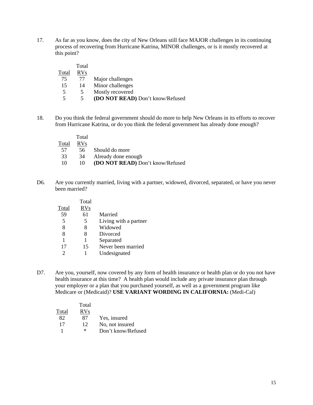17. As far as you know, does the city of New Orleans still face MAJOR challenges in its continuing process of recovering from Hurricane Katrina, MINOR challenges, or is it mostly recovered at this point?

|       | Total      |                                  |
|-------|------------|----------------------------------|
| Total | <b>RVs</b> |                                  |
| 75    | 77         | Major challenges                 |
| 15    | 14         | Minor challenges                 |
| 5     |            | Mostly recovered                 |
|       |            | (DO NOT READ) Don't know/Refused |

18. Do you think the federal government should do more to help New Orleans in its efforts to recover from Hurricane Katrina, or do you think the federal government has already done enough?

|       | Total      |                                  |
|-------|------------|----------------------------------|
| Total | <b>RVs</b> |                                  |
| 57    | 56.        | Should do more                   |
| 33    | 34         | Already done enough              |
| 10    | 10         | (DO NOT READ) Don't know/Refused |

D6. Are you currently married, living with a partner, widowed, divorced, separated, or have you never been married?

|       | Total      |                       |
|-------|------------|-----------------------|
| Total | <b>RVs</b> |                       |
| 59    | 61         | Married               |
| 5     | 5          | Living with a partner |
| 8     | 8          | Widowed               |
| 8     | 8          | Divorced              |
| 1     | 1          | Separated             |
| 17    | 15         | Never been married    |
| っ     |            | Undesignated          |
|       |            |                       |

D7. Are you, yourself, now covered by any form of health insurance or health plan or do you not have health insurance at this time? A health plan would include any private insurance plan through your employer or a plan that you purchased yourself, as well as a government program like Medicare or (Medicaid)? **USE VARIANT WORDING IN CALIFORNIA:** (Medi-Cal)

|       | Total      |                    |
|-------|------------|--------------------|
| Total | <b>RVs</b> |                    |
| 82    | 87         | Yes, insured       |
| 17    | 12         | No, not insured    |
|       | ∗          | Don't know/Refused |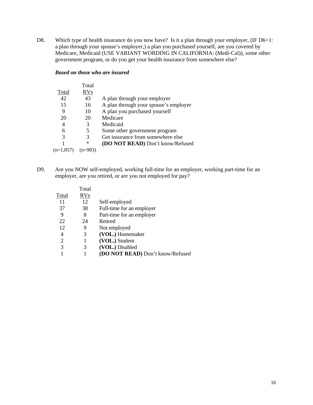D8. Which type of health insurance do you now have? Is it a plan through your employer, (IF D6=1: a plan through your spouse's employer,) a plan you purchased yourself, are you covered by Medicare, Medicaid (USE VARIANT WORDING IN CALIFORNIA: (Medi-Cal)), some other government program, or do you get your health insurance from somewhere else?

#### *Based on those who are insured*

|             | Total      |                                       |
|-------------|------------|---------------------------------------|
| Total       | <b>RVs</b> |                                       |
| 42          | 43         | A plan through your employer          |
| 15          | 16         | A plan through your spouse's employer |
| 9           | 10         | A plan you purchased yourself         |
| 20          | 20         | Medicare                              |
| 4           | 3          | Medicaid                              |
| 6           | 5          | Some other government program         |
| 3           | 3          | Get insurance from somewhere else     |
|             | $\ast$     | (DO NOT READ) Don't know/Refused      |
| $(n=1,057)$ |            |                                       |

D9. Are you NOW self-employed, working full-time for an employer, working part-time for an employer, are you retired, or are you not employed for pay?

|       | Total      |                                  |
|-------|------------|----------------------------------|
| Total | <b>RVs</b> |                                  |
| 11    | 12         | Self-employed                    |
| 37    | 38         | Full-time for an employer        |
| 9     | 8          | Part-time for an employer        |
| 22    | 24         | Retired                          |
| 12    | 9          | Not employed                     |
| 4     | 3          | (VOL.) Homemaker                 |
| 2     | 1          | (VOL.) Student                   |
| 3     | 3          | (VOL.) Disabled                  |
|       |            | (DO NOT READ) Don't know/Refused |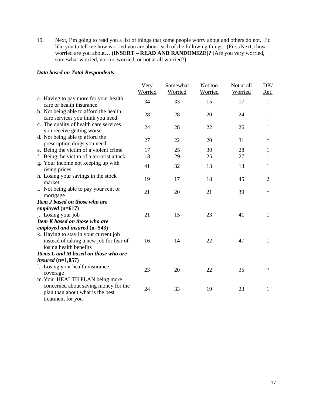19. Next, I'm going to read you a list of things that some people worry about and others do not. I'd like you to tell me how worried you are about each of the following things. (First/Next,) how worried are you about… **(INSERT – READ AND RANDOMIZE)?** (Are you very worried, somewhat worried, not too worried, or not at all worried?)

#### *Data based on Total Respondents*

|                                                                          | Very<br>Worried | Somewhat<br>Worried | Not too<br>Worried | Not at all<br><b>Worried</b> | DK/<br><u>Ref.</u> |
|--------------------------------------------------------------------------|-----------------|---------------------|--------------------|------------------------------|--------------------|
| a. Having to pay more for your health                                    | 34              | 33                  | 15                 | 17                           | $\mathbf{1}$       |
| care or health insurance<br>b. Not being able to afford the health       |                 |                     |                    |                              |                    |
| care services you think you need                                         | 28              | 28                  | 20                 | 24                           | $\mathbf{1}$       |
| c. The quality of health care services<br>you receive getting worse      | 24              | 28                  | 22                 | 26                           | $\mathbf{1}$       |
| d. Not being able to afford the<br>prescription drugs you need           | 27              | 22                  | 20                 | 31                           | $\ast$             |
| e. Being the victim of a violent crime                                   | 17              | 25                  | 30                 | 28                           | 1                  |
| f. Being the victim of a terrorist attack                                | 18              | 29                  | 25                 | 27                           | 1                  |
| g. Your income not keeping up with<br>rising prices                      | 41              | 32                  | 13                 | 13                           | 1                  |
| h. Losing your savings in the stock<br>market                            | 19              | 17                  | 18                 | 45                           | $\overline{2}$     |
| i. Not being able to pay your rent or<br>mortgage                        | 21              | 20                  | 21                 | 39                           | $\ast$             |
| Item J based on those who are                                            |                 |                     |                    |                              |                    |
| employed $(n=617)$                                                       |                 |                     |                    |                              |                    |
| j. Losing your job                                                       | 21              | 15                  | 23                 | 41                           | $\mathbf{1}$       |
| Item K based on those who are                                            |                 |                     |                    |                              |                    |
| employed and insured $(n=543)$                                           |                 |                     |                    |                              |                    |
| k. Having to stay in your current job                                    |                 |                     |                    |                              |                    |
| instead of taking a new job for fear of                                  | 16              | 14                  | 22                 | 47                           | $\mathbf{1}$       |
| losing health benefits                                                   |                 |                     |                    |                              |                    |
| Items L and M based on those who are                                     |                 |                     |                    |                              |                    |
| insured $(n=1,057)$                                                      |                 |                     |                    |                              |                    |
| 1. Losing your health insurance<br>coverage                              | 23              | 20                  | 22                 | 35                           | $\ast$             |
| m. Your HEALTH PLAN being more                                           |                 |                     |                    |                              |                    |
| concerned about saving money for the<br>plan than about what is the best | 24              | 33                  | 19                 | 23                           | 1                  |
| treatment for you                                                        |                 |                     |                    |                              |                    |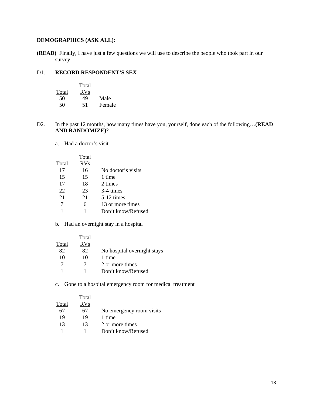# **DEMOGRAPHICS (ASK ALL):**

**(READ)** Finally, I have just a few questions we will use to describe the people who took part in our survey…

#### D1. **RECORD RESPONDENT'S SEX**

|       | Total      |        |
|-------|------------|--------|
| Total | <b>RVs</b> |        |
| 50    | 49         | Male   |
| 50    | 51         | Female |

- D2. In the past 12 months, how many times have you, yourself, done each of the following…**(READ AND RANDOMIZE)**?
	- a. Had a doctor's visit

|       | Total      |                    |
|-------|------------|--------------------|
| Total | <b>RVs</b> |                    |
| 17    | 16         | No doctor's visits |
| 15    | 15         | 1 time             |
| 17    | 18         | 2 times            |
| 22    | 23         | 3-4 times          |
| 21    | 21         | $5-12$ times       |
| 7     | 6          | 13 or more times   |
|       |            | Don't know/Refused |
|       |            |                    |

b. Had an overnight stay in a hospital

|       | Total      |                             |
|-------|------------|-----------------------------|
| Total | <b>RVs</b> |                             |
| 82    | 82         | No hospital overnight stays |
| 10    | 10         | 1 time                      |
| 7     |            | 2 or more times             |
|       |            | Don't know/Refused          |

c. Gone to a hospital emergency room for medical treatment

|       | Total |                          |
|-------|-------|--------------------------|
| Total | RVs   |                          |
| 67    | 67    | No emergency room visits |
| 19    | 19    | 1 time                   |
| 13    | 13    | 2 or more times          |
|       |       | Don't know/Refused       |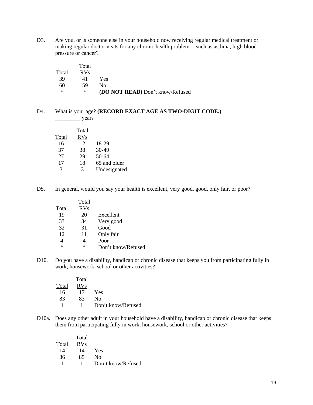D3. Are you, or is someone else in your household now receiving regular medical treatment or making regular doctor visits for any chronic health problem -- such as asthma, high blood pressure or cancer?

|       | Total      |                                         |
|-------|------------|-----------------------------------------|
| Total | <b>RVs</b> |                                         |
| -39   | 41         | Yes                                     |
| 60    | -59        | Nο                                      |
| ∗     | ∗          | <b>(DO NOT READ)</b> Don't know/Refused |

#### D4. What is your age? **(RECORD EXACT AGE AS TWO-DIGIT CODE.)**  $\frac{\ }{\ }$  years

|               | Total      |              |
|---------------|------------|--------------|
| Total         | <b>RVs</b> |              |
| 16            | 12         | 18-29        |
| 37            | 38         | $30-49$      |
| 27            | 29         | $50-64$      |
| 17            | 18         | 65 and older |
| $\mathcal{R}$ | 3          | Undesignated |

D5. In general, would you say your health is excellent, very good, good, only fair, or poor?

|       | Total      |                    |
|-------|------------|--------------------|
| Total | <b>RVs</b> |                    |
| 19    | 20         | Excellent          |
| 33    | 34         | Very good          |
| 32    | 31         | Good               |
| 12    | 11         | Only fair          |
|       |            | Poor               |
| *     | $^{\ast}$  | Don't know/Refused |

D10. Do you have a disability, handicap or chronic disease that keeps you from participating fully in work, housework, school or other activities?

|       | Total |                    |
|-------|-------|--------------------|
| Total | RVs   |                    |
| 16    | 17    | Yes                |
| 83    | 83    | Nο                 |
|       |       | Don't know/Refused |

D10a. Does any other adult in your household have a disability, handicap or chronic disease that keeps them from participating fully in work, housework, school or other activities?

|       | Total      |                    |
|-------|------------|--------------------|
| Total | <b>RVs</b> |                    |
| 14    | 14         | Yes                |
| 86    | 85         | Nο                 |
|       |            | Don't know/Refused |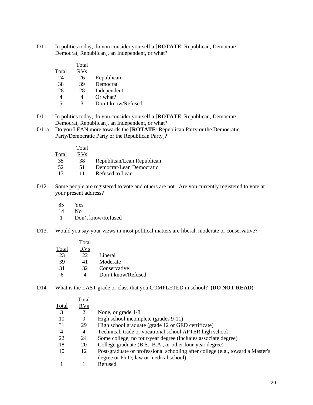D11. In politics today, do you consider yourself a [**ROTATE**: Republican, Democrat/ Democrat, Republican], an Independent, or what?

|       | Total      |                    |
|-------|------------|--------------------|
| Total | <b>RVs</b> |                    |
| 24    | 26         | Republican         |
| 38    | 39         | Democrat           |
| 28    | 28         | Independent        |
| 4     |            | Or what?           |
| 5     | 3          | Don't know/Refused |

- D11. In politics today, do you consider yourself a [**ROTATE**: Republican, Democrat/ Democrat, Republican], an Independent, or what?
- D11a. Do you LEAN more towards the [**ROTATE**: Republican Party or the Democratic Party/Democratic Party or the Republican Party]?

|       | Total      |                            |
|-------|------------|----------------------------|
| Total | <b>RVs</b> |                            |
| 35    | 38         | Republican/Lean Republican |
| 52    | 51         | Democrat/Lean Democratic   |
| 13    | 11         | Refused to Lean            |
|       |            |                            |

- D12. Some people are registered to vote and others are not. Are you currently registered to vote at your present address?
	- 85 Yes
	- 14 No
	- 1 Don't know/Refused
- D13. Would you say your views in most political matters are liberal, moderate or conservative?

| Total | Total<br>RVs |                    |
|-------|--------------|--------------------|
| 23    | 22           | Liberal            |
| 39    | 41           | Moderate           |
| 31    | 32           | Conservative       |
| 6     |              | Don't know/Refused |

D14. What is the LAST grade or class that you COMPLETED in school? **(DO NOT READ)** 

| Total          |                                                                                |
|----------------|--------------------------------------------------------------------------------|
| RVs            |                                                                                |
| $\overline{2}$ | None, or grade 1-8                                                             |
| 9              | High school incomplete (grades 9-11)                                           |
| 29             | High school graduate (grade 12 or GED certificate)                             |
| $\overline{4}$ | Technical, trade or vocational school AFTER high school                        |
| 24             | Some college, no four-year degree (includes associate degree)                  |
| 20             | College graduate (B.S., B.A., or other four-year degree)                       |
| 12             | Post-graduate or professional schooling after college (e.g., toward a Master's |
|                | degree or Ph.D; law or medical school)                                         |
|                | Refused                                                                        |
|                |                                                                                |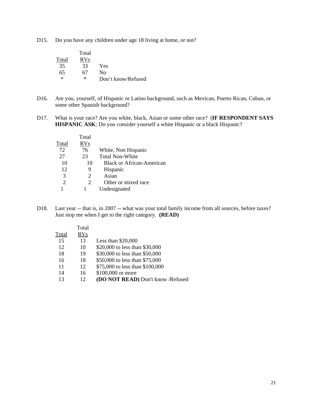D15. Do you have any children under age 18 living at home, or not?

|        | Total      |                    |
|--------|------------|--------------------|
| Total  | <b>RVs</b> |                    |
| 35     | 33         | Yes                |
| 65     | 67         | Nο                 |
| $\ast$ | $\ast$     | Don't know/Refused |

- D16. Are you, yourself, of Hispanic or Latino background, such as Mexican, Puerto Rican, Cuban, or some other Spanish background?
- D17. What is your race? Are you white, black, Asian or some other race? (**IF RESPONDENT SAYS HISPANIC ASK**: Do you consider yourself a white Hispanic or a black Hispanic?

|       | Total                 |                                  |
|-------|-----------------------|----------------------------------|
| Total | <b>RVs</b>            |                                  |
| 72    | 76                    | White, Non Hispanic              |
| 27    | 23                    | <b>Total Non-White</b>           |
| 10    | 10                    | <b>Black or African-American</b> |
| 12    | 9                     | Hispanic                         |
| 3     | 2                     | Asian                            |
| 2     | $\mathcal{D}_{\cdot}$ | Other or mixed race              |
|       |                       | Undesignated                     |
|       |                       |                                  |

D18. Last year -- that is, in 2007 -- what was your total family income from all sources, before taxes? Just stop me when I get to the right category. **(READ)** 

|       | Total      |                                   |
|-------|------------|-----------------------------------|
| Total | <b>RVs</b> |                                   |
| 15    | 13         | Less than $$20,000$               |
| 12    | 10         | \$20,000 to less than \$30,000    |
| 18    | 19         | \$30,000 to less than \$50,000    |
| 16    | 18         | \$50,000 to less than \$75,000    |
| 11    | 12         | \$75,000 to less than \$100,000   |
| 14    | 16         | \$100,000 or more                 |
| 13    | 12         | (DO NOT READ) Don't know /Refused |